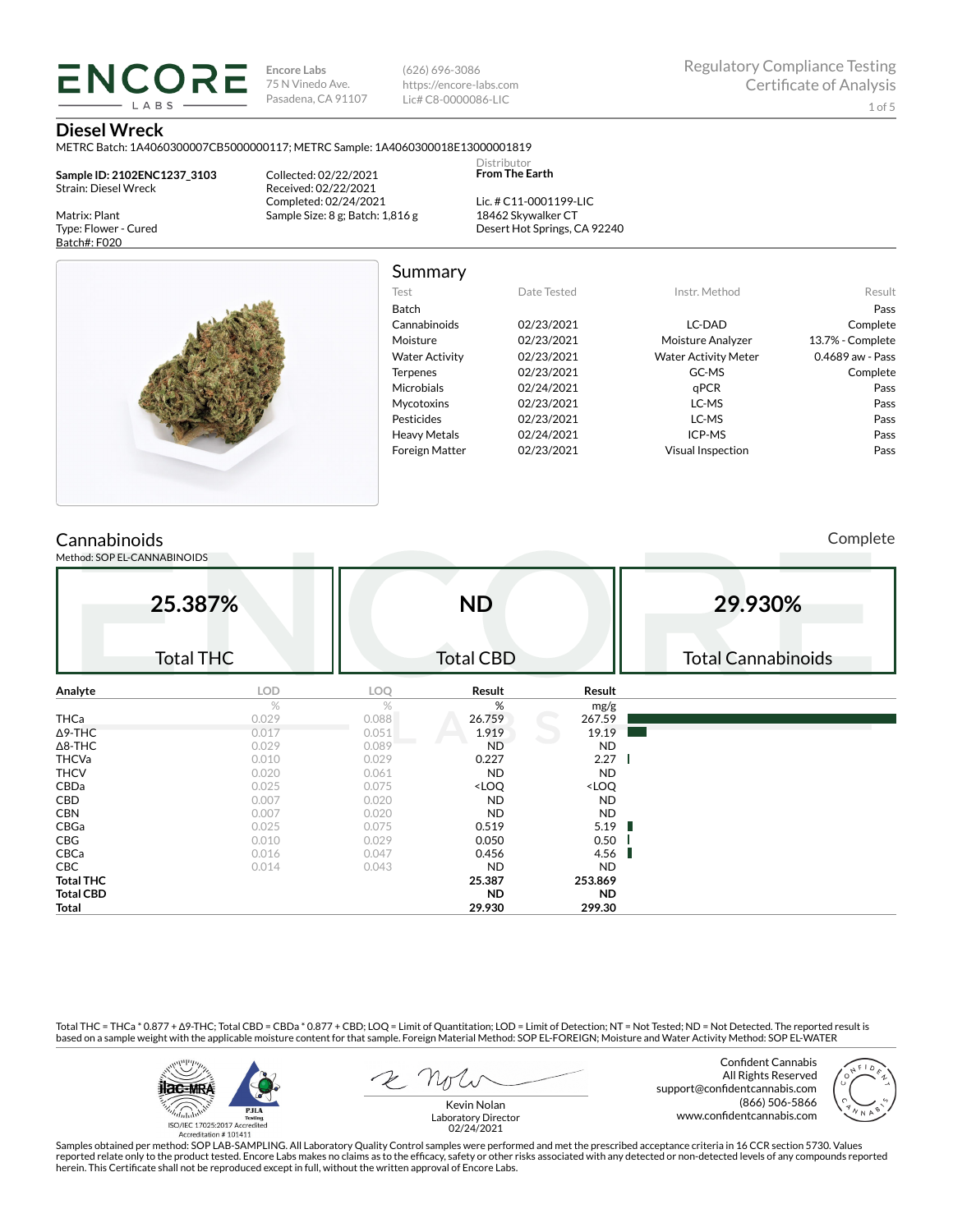**Encore Labs** 75 N Vinedo Ave. Pasadena, CA 91107 (626) 696-3086 https://encore-labs.com Lic# C8-0000086-LIC

> Distributor **From The Earth**

#### **Diesel Wreck**

Matrix: Plant Type: Flower - Cured Batch#: F020

METRC Batch: 1A4060300007CB5000000117; METRC Sample: 1A4060300018E13000001819

**Sample ID: 2102ENC1237\_3103** Strain: Diesel Wreck

**ENCORE** 

Collected: 02/22/2021 Received: 02/22/2021 Completed: 02/24/2021 Sample Size: 8 g; Batch: 1,816 g

Lic. # C11-0001199-LIC 18462 Skywalker CT Desert Hot Springs, CA 92240



# Summary

| Test                  | Date Tested | Instr. Method               | Result           |
|-----------------------|-------------|-----------------------------|------------------|
| Batch                 |             |                             | Pass             |
| Cannabinoids          | 02/23/2021  | LC-DAD                      | Complete         |
| Moisture              | 02/23/2021  | Moisture Analyzer           | 13.7% - Complete |
| <b>Water Activity</b> | 02/23/2021  | <b>Water Activity Meter</b> | 0.4689 aw - Pass |
| <b>Terpenes</b>       | 02/23/2021  | GC-MS                       | Complete         |
| Microbials            | 02/24/2021  | qPCR                        | Pass             |
| <b>Mycotoxins</b>     | 02/23/2021  | LC-MS                       | Pass             |
| Pesticides            | 02/23/2021  | LC-MS                       | Pass             |
| <b>Heavy Metals</b>   | 02/24/2021  | ICP-MS                      | Pass             |
| <b>Foreign Matter</b> | 02/23/2021  | <b>Visual Inspection</b>    | Pass             |
|                       |             |                             |                  |

### **Cannabinoids**

Method: SOP EL-CANNABINOIDS

Complete

|                  | 25.387%          |            | <b>ND</b>                                                |                              | 29.930%                   |
|------------------|------------------|------------|----------------------------------------------------------|------------------------------|---------------------------|
|                  | <b>Total THC</b> |            | <b>Total CBD</b>                                         |                              | <b>Total Cannabinoids</b> |
| Analyte          | LOD              | <b>LOQ</b> | Result                                                   | Result                       |                           |
|                  | $\%$             | %          | %                                                        | mg/g                         |                           |
| <b>THCa</b>      | 0.029            | 0.088      | 26.759                                                   | 267.59                       |                           |
| $\Delta$ 9-THC   | 0.017            | 0.051      | 1.919                                                    | 19.19                        |                           |
| $\Delta$ 8-THC   | 0.029            | 0.089      | <b>ND</b>                                                | <b>ND</b>                    |                           |
| <b>THCVa</b>     | 0.010            | 0.029      | 0.227                                                    | 2.27                         |                           |
| <b>THCV</b>      | 0.020            | 0.061      | <b>ND</b>                                                | <b>ND</b>                    |                           |
| CBDa             | 0.025            | 0.075      | <loq< td=""><td><loq< td=""><td></td></loq<></td></loq<> | <loq< td=""><td></td></loq<> |                           |
| CBD              | 0.007            | 0.020      | <b>ND</b>                                                | <b>ND</b>                    |                           |
| <b>CBN</b>       | 0.007            | 0.020      | <b>ND</b>                                                | <b>ND</b>                    |                           |
| CBGa             | 0.025            | 0.075      | 0.519                                                    | 5.19<br>ш                    |                           |
| CBG              | 0.010            | 0.029      | 0.050                                                    | 0.50                         |                           |
| CBCa             | 0.016            | 0.047      | 0.456                                                    | 4.56                         |                           |
| CBC              | 0.014            | 0.043      | <b>ND</b>                                                | <b>ND</b>                    |                           |
| <b>Total THC</b> |                  |            | 25.387                                                   | 253.869                      |                           |
| <b>Total CBD</b> |                  |            | <b>ND</b>                                                | <b>ND</b>                    |                           |
| Total            |                  |            | 29.930                                                   | 299.30                       |                           |

Total THC = THCa \* 0.877 + ∆9-THC; Total CBD = CBDa \* 0.877 + CBD; LOQ = Limit of Quantitation; LOD = Limit of Detection; NT = Not Tested; ND = Not Detected. The reported result is based on a sample weight with the applicable moisture content for that sample. Foreign Material Method: SOP EL-FOREIGN; Moisture and Water Activity Method: SOP EL-WATER



Confident Cannabis All Rights Reserved support@confidentcannabis.com (866) 506-5866 www.confidentcannabis.com



Kevin Nolan Laboratory Director 02/24/2021

Samples obtained per method: SOP LAB-SAMPLING. All Laboratory Quality Control samples were performed and met the prescribed acceptance criteria in 16 CCR section 5730. Values reported relate only to the product tested. Encore Labs makes no claims as to the efficacy, safety or other risks associated with any detected or non-detected levels of any compounds reported<br>herein. This Certificate shall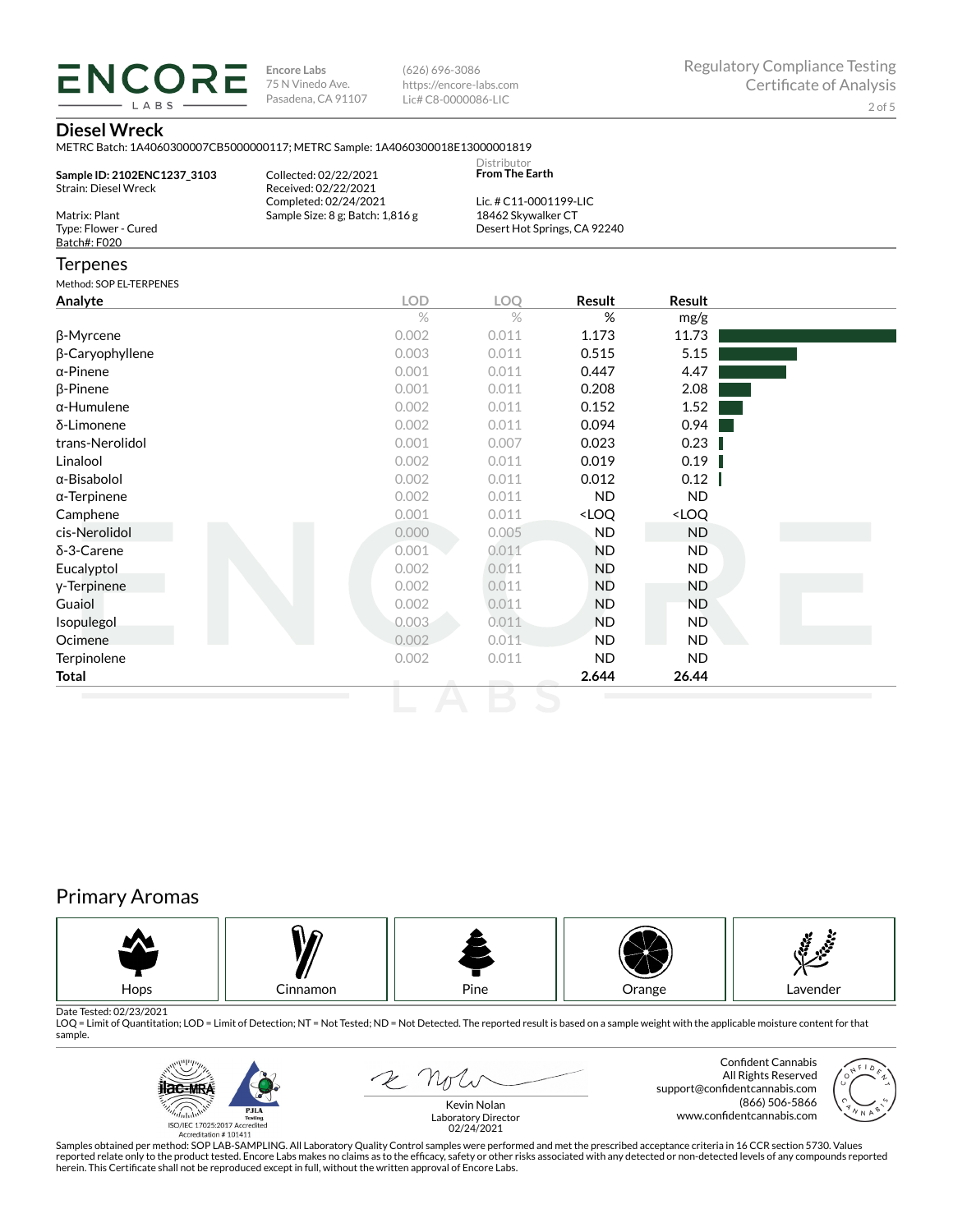**ENCORE Encore Labs** 75 N Vinedo Ave. Pasadena, CA 91107

(626) 696-3086 https://encore-labs.com Lic# C8-0000086-LIC

### **Diesel Wreck**

LABS

|                                                       | <u>IVILTING DAICH. IM TOODDOOD / CDJOODDOIIT/, IVILTING JAIHDIG. IM TOODJOOD IDLIJOODDOIDI7</u> |                               |                              |        |  |
|-------------------------------------------------------|-------------------------------------------------------------------------------------------------|-------------------------------|------------------------------|--------|--|
| Sample ID: 2102ENC1237 3103<br>Strain: Diesel Wreck   | Collected: 02/22/2021<br>Received: 02/22/2021                                                   | Distributor<br>From The Earth |                              |        |  |
|                                                       | Completed: 02/24/2021                                                                           | Lic. # C11-0001199-LIC        |                              |        |  |
| Matrix: Plant<br>Type: Flower - Cured<br>Batch#: F020 | Sample Size: 8 g; Batch: 1,816 g                                                                | 18462 Skywalker CT            | Desert Hot Springs, CA 92240 |        |  |
| <b>Terpenes</b>                                       |                                                                                                 |                               |                              |        |  |
| Method: SOP EL-TERPENES                               |                                                                                                 |                               |                              |        |  |
| Analyte                                               | <b>LOD</b>                                                                                      | <b>LOO</b>                    | Result                       | Result |  |
|                                                       | $\%$                                                                                            | $\%$                          | %                            | mg/g   |  |
| β-Myrcene                                             | 0.002                                                                                           | 0.011                         | 1.173                        | 11.73  |  |
| β-Caryophyllene                                       | 0.003                                                                                           | 0.011                         | 0.515                        | 5.15   |  |
| $\alpha$ -Pinene                                      | 0.001                                                                                           | 0.011                         | 0.447                        | 4.47   |  |
| $\beta$ -Pinene                                       | 0.001                                                                                           | 0.011                         | 0.208                        | 2.08   |  |
| $\alpha$ -Humulene                                    | 0.002                                                                                           | 0.011                         | 0.152                        | 1.52   |  |
| δ-Limonene                                            | 0.002                                                                                           | 0.011                         | 0.094                        | 0.94   |  |

| 0.001 | 0.011 | 0.447                                                    | 4.47                         |  |
|-------|-------|----------------------------------------------------------|------------------------------|--|
| 0.001 | 0.011 | 0.208                                                    | 2.08                         |  |
| 0.002 | 0.011 | 0.152                                                    | 1.52                         |  |
| 0.002 | 0.011 | 0.094                                                    | 0.94                         |  |
| 0.001 | 0.007 | 0.023                                                    | 0.23                         |  |
| 0.002 | 0.011 | 0.019                                                    | 0.19                         |  |
| 0.002 | 0.011 | 0.012                                                    | 0.12                         |  |
| 0.002 | 0.011 | ND.                                                      | ND.                          |  |
| 0.001 | 0.011 | <loq< td=""><td><loq< td=""><td></td></loq<></td></loq<> | <loq< td=""><td></td></loq<> |  |
| 0.000 | 0.005 | ND.                                                      | ND.                          |  |
| 0.001 | 0.011 | <b>ND</b>                                                | ND.                          |  |
| 0.002 | 0.011 | ND.                                                      | ND.                          |  |
| 0.002 | 0.011 | <b>ND</b>                                                | ND.                          |  |
| 0.002 | 0.011 | <b>ND</b>                                                | ND.                          |  |
| 0.003 | 0.011 | <b>ND</b>                                                | ND.                          |  |
| 0.002 | 0.011 | ND.                                                      | ND                           |  |
| 0.002 | 0.011 | ND.                                                      | ND.                          |  |
|       |       | 2.644                                                    | 26.44                        |  |
|       |       |                                                          |                              |  |

## Primary Aromas



Date Tested: 02/23/2021<br>LOQ = Limit of Quantitation; LOD = Limit of Detection; NT = Not Tested; ND = Not Detected. The reported result is based on a sample weight with the applicable moisture content for that sample.



2 Not

Confident Cannabis All Rights Reserved support@confidentcannabis.com (866) 506-5866 www.confidentcannabis.com



Kevin Nolan Laboratory Director 02/24/2021

Samples obtained per method: SOP LAB-SAMPLING. All Laboratory Quality Control samples were performed and met the prescribed acceptance criteria in 16 CCR section 5730. Values reported relate only to the product tested. Encore Labs makes no claims as to the efficacy, safety or other risks associated with any detected or non-detected levels of any compounds reported<br>herein. This Certificate shall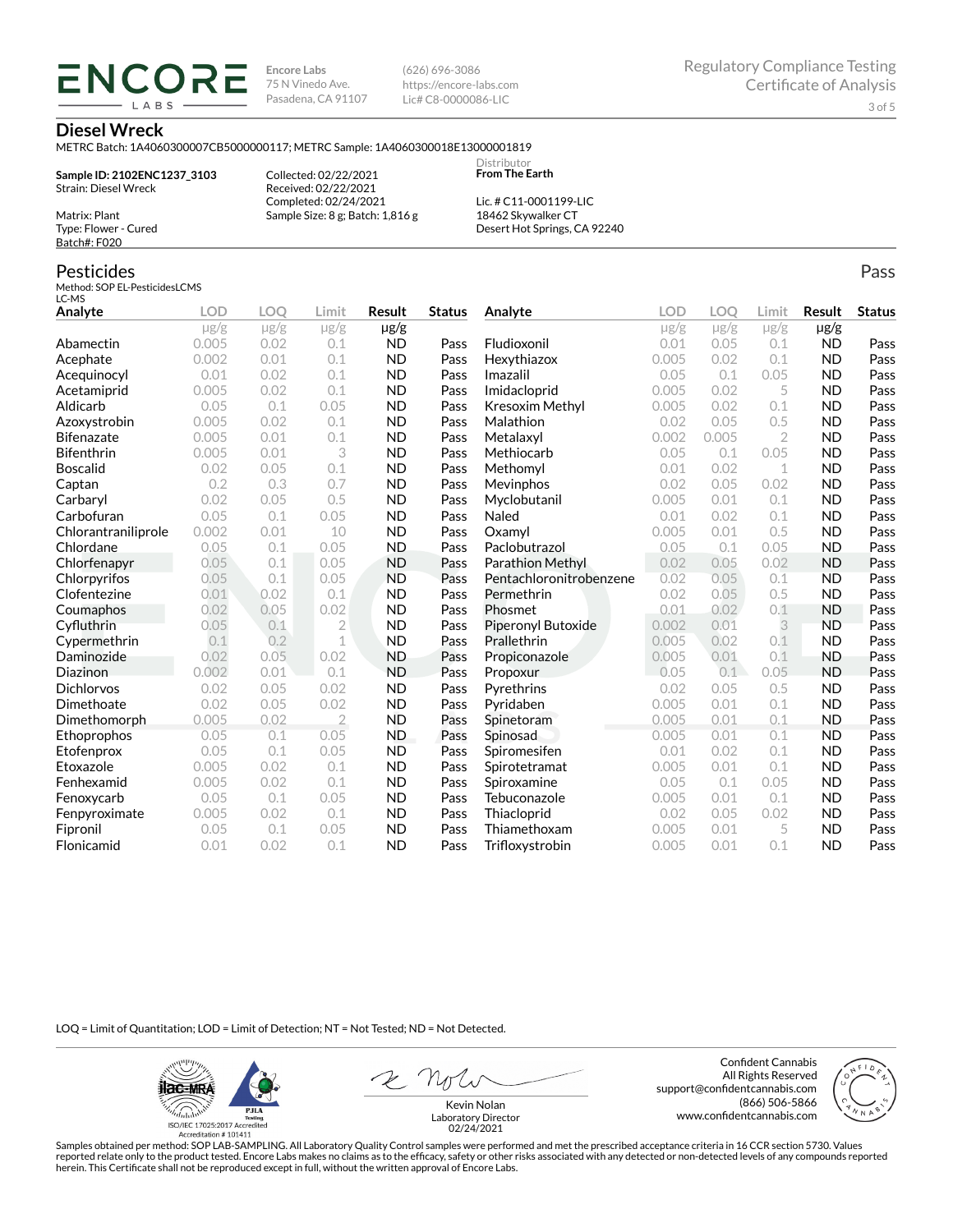**Encore Labs** 75 N Vinedo Ave. Pasadena, CA 91107 (626) 696-3086 https://encore-labs.com Lic# C8-0000086-LIC

> **Distributor From The Earth**

#### **Diesel Wreck**

Matrix: Plant Type: Flower - Cured Batch#: F020

Pesticides

METRC Batch: 1A4060300007CB5000000117; METRC Sample: 1A4060300018E13000001819

**Sample ID: 2102ENC1237\_3103** Strain: Diesel Wreck

**ENCORE IARS** 

> Collected: 02/22/2021 Received: 02/22/2021 Completed: 02/24/2021 Sample Size: 8 g; Batch: 1,816 g

Lic. # C11-0001199-LIC 18462 Skywalker CT Desert Hot Springs, CA 92240

#### Method: SOP EL-PesticidesLCMS LC-MS **Analyte LOD LOQ Limit Result Status**  $\mu$ g/g  $\mu$ g/g  $\mu$ g/g  $\mu$ g/g Abamectin 0.005 0.02 0.1 ND Pass Acephate 0.002 0.01 0.1 ND Pass Acequinocyl 0.01 0.02 0.1 ND Pass Acetamiprid 0.005 0.02 0.1 ND Pass Aldicarb 0.05 0.1 0.05 ND Pass Azoxystrobin 0.005 0.02 0.1 ND Pass Bifenazate 0.005 0.01 0.1 ND Pass Bifenthrin 0.005 0.01 3 ND Pass Boscalid 0.02 0.05 0.1 ND Pass **Captan 12 0.2 0.3 0.7 ND Pass Carbaryl 0.02 0.05 0.5 ND Pass** Carbofuran 0.05 0.1 0.05 ND Pass Chlorantraniliprole 0.002 0.01 10 ND Pass Chlordane 0.05 0.1 0.05 ND Pass Chlorfenapyr 0.05 0.1 0.05 ND Pass Chlorpyrifos 0.05 0.1 0.05 ND Pass Clofentezine 0.01 0.02 0.1 ND Pass Coumaphos 0.02 0.05 0.02 ND Pass Cyfluthrin 0.05 0.1 2 ND Pass Cypermethrin 0.1 0.2 1 ND Pass Daminozide 0.02 0.05 0.02 ND Pass **Diazinon** 0.002 0.01 0.1 ND Pass Dichlorvos 0.02 0.05 0.02 ND Pass Dimethoate 0.02 0.05 0.02 ND Pass Dimethomorph 0.005 0.02 2 ND Pass Ethoprophos 0.05 0.1 0.05 ND Pass Etofenprox 0.05 0.1 0.05 ND Pass Etoxazole 0.005 0.02 0.1 ND Pass Fenhexamid 0.005 0.02 0.1 ND Pass Fenoxycarb 0.05 0.1 0.05 ND Pass Fenpyroximate 0.005 0.02 0.1 ND Pass Fipronil 0.05 0.1 0.05 ND Pass Flonicamid 0.01 0.02 0.1 ND Pass **Analyte LOD LOQ Limit Result Status**  $\mu$ g/g  $\mu$ g/g  $\mu$ g/g  $\mu$ g/g Fludioxonil 0.01 0.05 0.1 ND Pass Hexythiazox 0.005 0.02 0.1 ND Pass **Imazalil 11 0.05 0.1 0.05 ND Pass** Imidacloprid 0.005 0.02 5 ND Pass Kresoxim Methyl  $0.005$  0.02 0.1 ND Pass **Malathion** 0.02 0.05 0.5 **ND Pass** Metalaxyl 0.002 0.005 2 ND Pass Methiocarb 0.05 0.1 0.05 ND Pass **Methomyl** 0.01 0.02 1 **ND Pass** Mevinphos 0.02 0.05 0.02 ND Pass Myclobutanil 0.005 0.01 0.1 ND Pass **Naled 1200 0.01 0.02 0.1 ND Pass Oxamyl** 0.005 0.01 0.5 **ND Pass** Paclobutrazol 0.05 0.1 0.05 ND Pass Parathion Methyl 0.02 0.05 0.02 ND Pass Pentachloronitrobenzene 0.02 0.05 0.1 ND Pass Permethrin 0.02 0.05 0.5 ND Pass Phosmet 0.01 0.02 0.1 ND Pass Piperonyl Butoxide 0.002 0.01 3 ND Pass Prallethrin 0.005 0.02 0.1 ND Pass Propiconazole 0.005 0.01 0.1 ND Pass **Propoxur 1988 0.05 0.1 0.05 ND Pass Pyrethrins 0.02 0.05 0.5 ND Pass Pyridaben 1988 0.005 0.01 0.1 ND Pass Spinetoram 0.005 0.01 0.1 ND Pass** Spinosad 0.005 0.01 0.1 ND Pass Spiromesifen 0.01 0.02 0.1 ND Pass Spirotetramat 0.005 0.01 0.1 ND Pass Spiroxamine 0.05 0.1 0.05 ND Pass Tebuconazole 0.005 0.01 0.1 ND Pass Thiacloprid 0.02 0.05 0.02 ND Pass Thiamethoxam 0.005 0.01 5 ND Pass Trifloxystrobin 0.005 0.01 0.1 ND Pass

LOQ = Limit of Quantitation; LOD = Limit of Detection; NT = Not Tested; ND = Not Detected.

**ilac-MRA P.ILA** أيطيبك ISO/IEC 17025:2017 Ac

Accreditation #101411

Z Nolw

Confident Cannabis All Rights Reserved support@confidentcannabis.com (866) 506-5866 www.confidentcannabis.com



Kevin Nolan Laboratory Director 02/24/2021

Samples obtained per method: SOP LAB-SAMPLING. All Laboratory Quality Control samples were performed and met the prescribed acceptance criteria in 16 CCR section 5730. Values reported relate only to the product tested. Encore Labs makes no claims as to the efficacy, safety or other risks associated with any detected or non-detected levels of any compounds reported herein. This Certificate shall not be reproduced except in full, without the written approval of Encore Labs.

Pass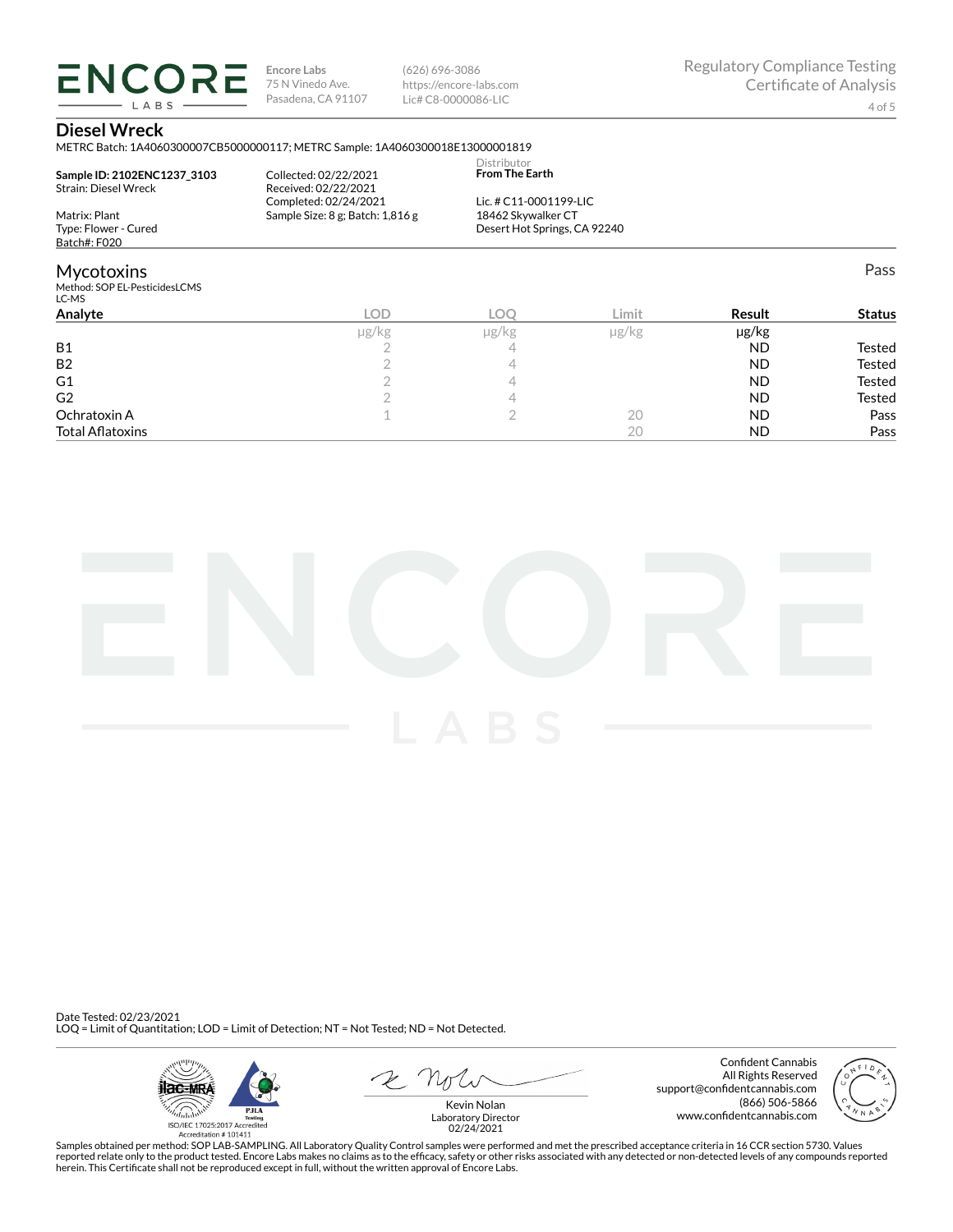**ENCORE Encore Labs** 75 N Vinedo Ave. Pasadena, CA 91107

(626) 696-3086 https://encore-labs.com Lic# C8-0000086-LIC

Pass

#### **Diesel Wreck**

LABS

METRC Batch: 1A4060300007CB5000000117; METRC Sample: 1A4060300018E13000001819

|                                        |                                  | Distributor                  |  |
|----------------------------------------|----------------------------------|------------------------------|--|
| Sample ID: 2102ENC1237 3103            | Collected: 02/22/2021            | <b>From The Earth</b>        |  |
| Strain: Diesel Wreck                   | Received: 02/22/2021             |                              |  |
|                                        | Completed: 02/24/2021            | Lic. # C11-0001199-LIC       |  |
| Matrix: Plant                          | Sample Size: 8 g; Batch: 1,816 g | 18462 Skywalker CT           |  |
| Type: Flower - Cured                   |                                  | Desert Hot Springs, CA 92240 |  |
| Batch#: F020                           |                                  |                              |  |
| Mycotoxins                             |                                  |                              |  |
| Method: SOP EL-PesticidesLCMS<br>LC-MS |                                  |                              |  |
|                                        |                                  |                              |  |

| -- - -                  |       |       |            |            |               |
|-------------------------|-------|-------|------------|------------|---------------|
| Analyte                 | LOD.  | LOC   | Limit      | Result     | <b>Status</b> |
|                         | µg/kg | µg/kg | $\mu$ g/kg | $\mu$ g/kg |               |
| <b>B1</b>               |       |       |            | <b>ND</b>  | Tested        |
| B <sub>2</sub>          |       |       |            | <b>ND</b>  | Tested        |
| G <sub>1</sub>          |       |       |            | <b>ND</b>  | Tested        |
| G <sub>2</sub>          |       |       |            | <b>ND</b>  | Tested        |
| Ochratoxin A            |       |       | 20         | <b>ND</b>  | Pass          |
| <b>Total Aflatoxins</b> |       |       | 20         | <b>ND</b>  | Pass          |



Date Tested: 02/23/2021 LOQ = Limit of Quantitation; LOD = Limit of Detection; NT = Not Tested; ND = Not Detected.



Confident Cannabis All Rights Reserved support@confidentcannabis.com (866) 506-5866 www.confidentcannabis.com



Kevin Nolan Laboratory Director 02/24/2021

Samples obtained per method: SOP LAB-SAMPLING. All Laboratory Quality Control samples were performed and met the prescribed acceptance criteria in 16 CCR section 5730. Values reported relate only to the product tested. Encore Labs makes no claims as to the efficacy, safety or other risks associated with any detected or non-detected levels of any compounds reported<br>herein. This Certificate shall